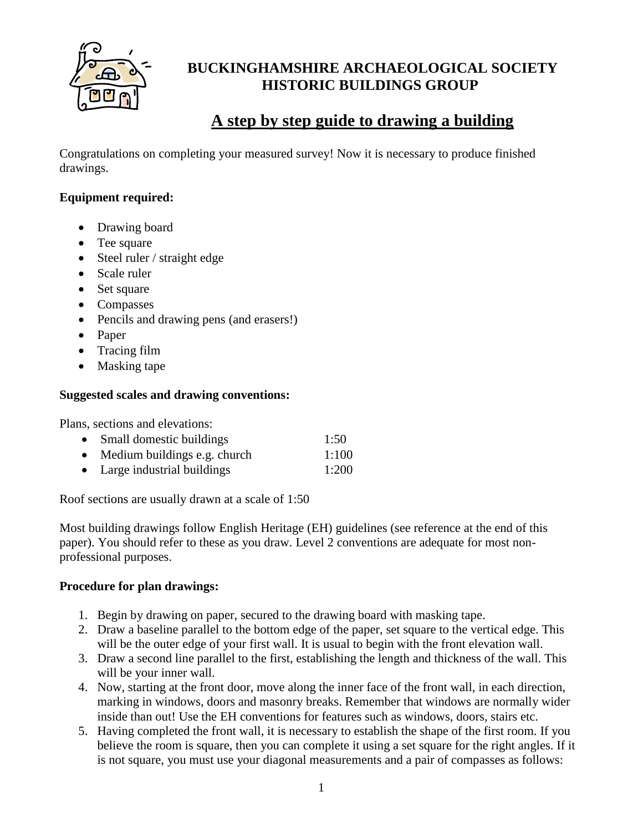

# **BUCKINGHAMSHIRE ARCHAEOLOGICAL SOCIETY HISTORIC BUILDINGS GROUP**

# **A step by step guide to drawing a building**

Congratulations on completing your measured survey! Now it is necessary to produce finished drawings.

### **Equipment required:**

- Drawing board
- Tee square
- Steel ruler / straight edge
- Scale ruler
- Set square
- Compasses
- Pencils and drawing pens (and erasers!)
- Paper
- Tracing film
- Masking tape

#### **Suggested scales and drawing conventions:**

Plans, sections and elevations:

| • Small domestic buildings     | 1:50  |
|--------------------------------|-------|
| • Medium buildings e.g. church | 1:100 |
| • Large industrial buildings   | 1:200 |

Roof sections are usually drawn at a scale of 1:50

Most building drawings follow English Heritage (EH) guidelines (see reference at the end of this paper). You should refer to these as you draw. Level 2 conventions are adequate for most nonprofessional purposes.

#### **Procedure for plan drawings:**

- 1. Begin by drawing on paper, secured to the drawing board with masking tape.
- 2. Draw a baseline parallel to the bottom edge of the paper, set square to the vertical edge. This will be the outer edge of your first wall. It is usual to begin with the front elevation wall.
- 3. Draw a second line parallel to the first, establishing the length and thickness of the wall. This will be your inner wall.
- 4. Now, starting at the front door, move along the inner face of the front wall, in each direction, marking in windows, doors and masonry breaks. Remember that windows are normally wider inside than out! Use the EH conventions for features such as windows, doors, stairs etc.
- 5. Having completed the front wall, it is necessary to establish the shape of the first room. If you believe the room is square, then you can complete it using a set square for the right angles. If it is not square, you must use your diagonal measurements and a pair of compasses as follows: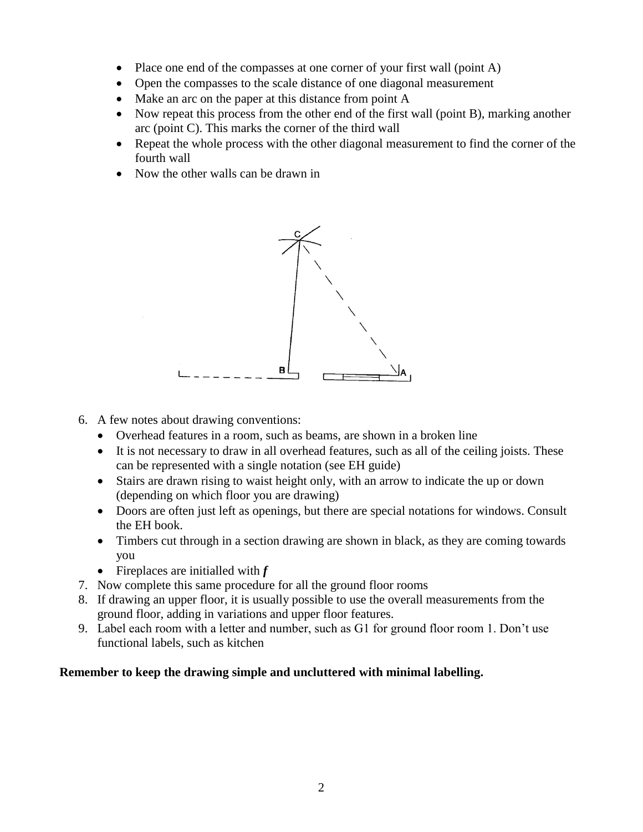- Place one end of the compasses at one corner of your first wall (point A)
- Open the compasses to the scale distance of one diagonal measurement
- Make an arc on the paper at this distance from point A
- Now repeat this process from the other end of the first wall (point B), marking another arc (point C). This marks the corner of the third wall
- Repeat the whole process with the other diagonal measurement to find the corner of the fourth wall
- Now the other walls can be drawn in



- 6. A few notes about drawing conventions:
	- Overhead features in a room, such as beams, are shown in a broken line
	- It is not necessary to draw in all overhead features, such as all of the ceiling joists. These can be represented with a single notation (see EH guide)
	- Stairs are drawn rising to waist height only, with an arrow to indicate the up or down (depending on which floor you are drawing)
	- Doors are often just left as openings, but there are special notations for windows. Consult the EH book.
	- Timbers cut through in a section drawing are shown in black, as they are coming towards you
	- Fireplaces are initialled with *f*
- 7. Now complete this same procedure for all the ground floor rooms
- 8. If drawing an upper floor, it is usually possible to use the overall measurements from the ground floor, adding in variations and upper floor features.
- 9. Label each room with a letter and number, such as G1 for ground floor room 1. Don't use functional labels, such as kitchen

## **Remember to keep the drawing simple and uncluttered with minimal labelling.**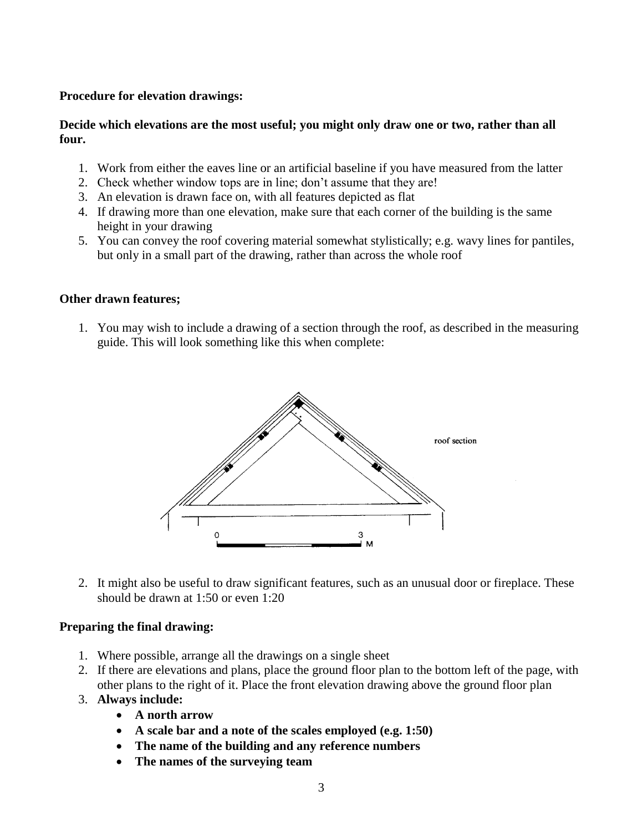#### **Procedure for elevation drawings:**

#### **Decide which elevations are the most useful; you might only draw one or two, rather than all four.**

- 1. Work from either the eaves line or an artificial baseline if you have measured from the latter
- 2. Check whether window tops are in line; don't assume that they are!
- 3. An elevation is drawn face on, with all features depicted as flat
- 4. If drawing more than one elevation, make sure that each corner of the building is the same height in your drawing
- 5. You can convey the roof covering material somewhat stylistically; e.g. wavy lines for pantiles, but only in a small part of the drawing, rather than across the whole roof

#### **Other drawn features;**

1. You may wish to include a drawing of a section through the roof, as described in the measuring guide. This will look something like this when complete:



2. It might also be useful to draw significant features, such as an unusual door or fireplace. These should be drawn at 1:50 or even 1:20

#### **Preparing the final drawing:**

- 1. Where possible, arrange all the drawings on a single sheet
- 2. If there are elevations and plans, place the ground floor plan to the bottom left of the page, with other plans to the right of it. Place the front elevation drawing above the ground floor plan
- 3. **Always include:**
	- **A north arrow**
	- **A scale bar and a note of the scales employed (e.g. 1:50)**
	- **The name of the building and any reference numbers**
	- **The names of the surveying team**